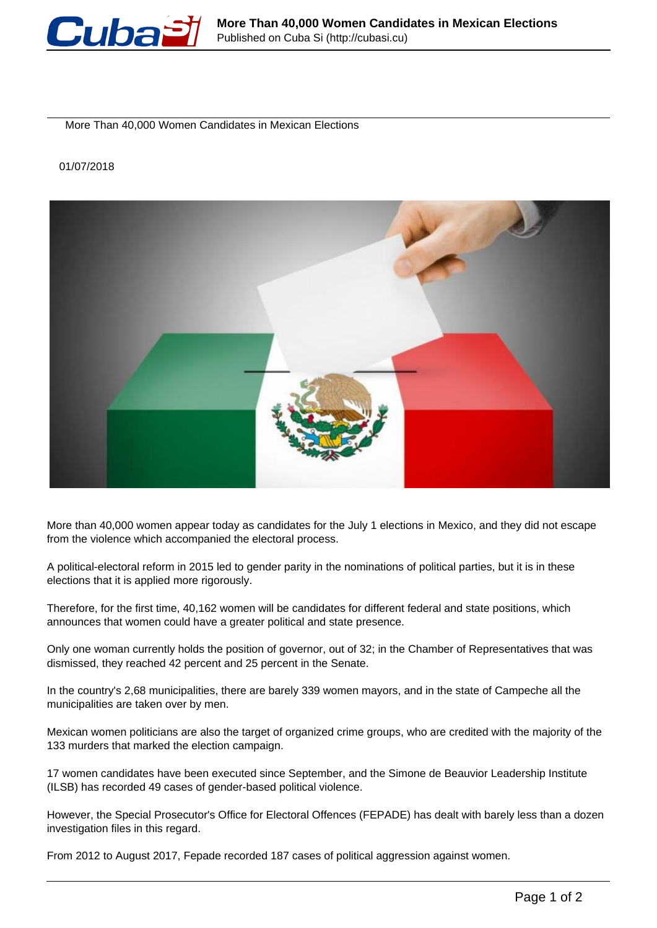

More Than 40,000 Women Candidates in Mexican Elections

## 01/07/2018



More than 40,000 women appear today as candidates for the July 1 elections in Mexico, and they did not escape from the violence which accompanied the electoral process.

A political-electoral reform in 2015 led to gender parity in the nominations of political parties, but it is in these elections that it is applied more rigorously.

Therefore, for the first time, 40,162 women will be candidates for different federal and state positions, which announces that women could have a greater political and state presence.

Only one woman currently holds the position of governor, out of 32; in the Chamber of Representatives that was dismissed, they reached 42 percent and 25 percent in the Senate.

In the country's 2,68 municipalities, there are barely 339 women mayors, and in the state of Campeche all the municipalities are taken over by men.

Mexican women politicians are also the target of organized crime groups, who are credited with the majority of the 133 murders that marked the election campaign.

17 women candidates have been executed since September, and the Simone de Beauvior Leadership Institute (ILSB) has recorded 49 cases of gender-based political violence.

However, the Special Prosecutor's Office for Electoral Offences (FEPADE) has dealt with barely less than a dozen investigation files in this regard.

From 2012 to August 2017, Fepade recorded 187 cases of political aggression against women.